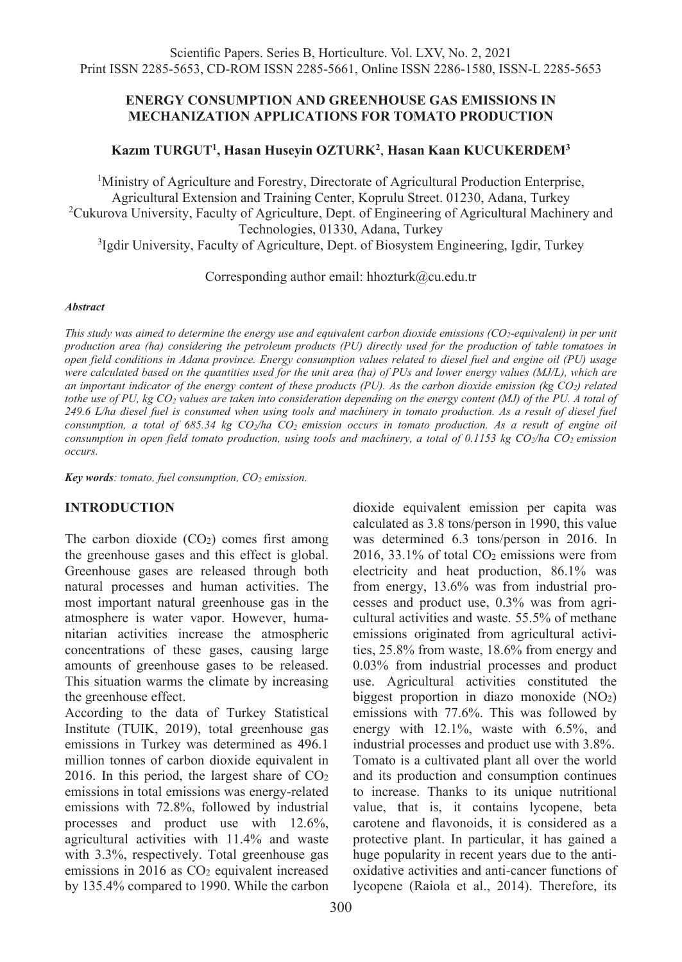#### **ENERGY CONSUMPTION AND GREENHOUSE GAS EMISSIONS IN MECHANIZATION APPLICATIONS FOR TOMATO PRODUCTION**

#### **Kazım TURGUT1, Hasan Huseyin OZTURK2**, **Hasan Kaan KUCUKERDEM3**

<sup>1</sup>Ministry of Agriculture and Forestry, Directorate of Agricultural Production Enterprise, Agricultural Extension and Training Center, Koprulu Street. 01230, Adana, Turkey <sup>2</sup>Cukurova University, Faculty of Agriculture, Dept. of Engineering of Agricultural Machinery and Technologies, 01330, Adana, Turkey <sup>3</sup>Igdir University, Faculty of Agriculture, Dept. of Biosystem Engineering, Igdir, Turkey

Corresponding author email: hhozturk@cu.edu.tr

#### *Abstract*

*This study was aimed to determine the energy use and equivalent carbon dioxide emissions (CO<sub>2</sub>-equivalent) in per unit production area (ha) considering the petroleum products (PU) directly used for the production of table tomatoes in open field conditions in Adana province. Energy consumption values related to diesel fuel and engine oil (PU) usage were calculated based on the quantities used for the unit area (ha) of PUs and lower energy values (MJ/L), which are an important indicator of the energy content of these products (PU). As the carbon dioxide emission (kg CO<sub>2</sub>) related tothe use of PU, kg CO2 values are taken into consideration depending on the energy content (MJ) of the PU. A total of 249.6 L/ha diesel fuel is consumed when using tools and machinery in tomato production. As a result of diesel fuel consumption, a total of 685.34 kg CO2/ha CO2 emission occurs in tomato production. As a result of engine oil consumption in open field tomato production, using tools and machinery, a total of 0.1153 kg CO<sub>2</sub>/ha CO<sub>2</sub> emission occurs.*

*Key words: tomato, fuel consumption,*  $CO<sub>2</sub>$  *emission.* 

# **INTRODUCTION**

The carbon dioxide  $(CO<sub>2</sub>)$  comes first among the greenhouse gases and this effect is global. Greenhouse gases are released through both natural processes and human activities. The most important natural greenhouse gas in the atmosphere is water vapor. However, humanitarian activities increase the atmospheric concentrations of these gases, causing large amounts of greenhouse gases to be released. This situation warms the climate by increasing the greenhouse effect.

According to the data of Turkey Statistical Institute (TUIK, 2019), total greenhouse gas emissions in Turkey was determined as 496.1 million tonnes of carbon dioxide equivalent in 2016. In this period, the largest share of  $CO<sub>2</sub>$ emissions in total emissions was energy-related emissions with 72.8%, followed by industrial processes and product use with 12.6%, agricultural activities with 11.4% and waste with 3.3%, respectively. Total greenhouse gas emissions in 2016 as CO<sub>2</sub> equivalent increased by 135.4% compared to 1990. While the carbon

dioxide equivalent emission per capita was calculated as 3.8 tons/person in 1990, this value was determined 6.3 tons/person in 2016. In  $2016$ ,  $33.1\%$  of total  $CO<sub>2</sub>$  emissions were from electricity and heat production, 86.1% was from energy, 13.6% was from industrial processes and product use, 0.3% was from agricultural activities and waste. 55.5% of methane emissions originated from agricultural activities, 25.8% from waste, 18.6% from energy and 0.03% from industrial processes and product use. Agricultural activities constituted the biggest proportion in diazo monoxide  $(NO<sub>2</sub>)$ emissions with 77.6%. This was followed by energy with 12.1%, waste with 6.5%, and industrial processes and product use with 3.8%. Tomato is a cultivated plant all over the world and its production and consumption continues to increase. Thanks to its unique nutritional value, that is, it contains lycopene, beta carotene and flavonoids, it is considered as a protective plant. In particular, it has gained a huge popularity in recent years due to the antioxidative activities and anti-cancer functions of lycopene (Raiola et al., 2014). Therefore, its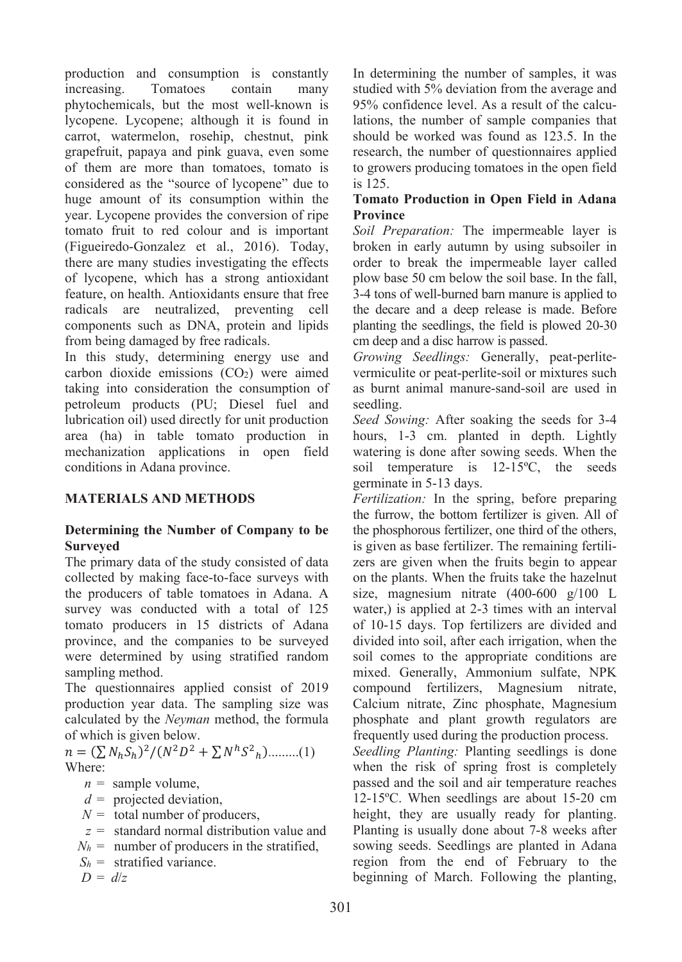production and consumption is constantly<br>increasing. Tomatoes contain many increasing. Tomatoes contain many phytochemicals, but the most well-known is lycopene. Lycopene; although it is found in carrot, watermelon, rosehip, chestnut, pink grapefruit, papaya and pink guava, even some of them are more than tomatoes, tomato is considered as the "source of lycopene" due to huge amount of its consumption within the year. Lycopene provides the conversion of ripe tomato fruit to red colour and is important (Figueiredo-Gonzalez et al., 2016). Today, there are many studies investigating the effects of lycopene, which has a strong antioxidant feature, on health. Antioxidants ensure that free radicals are neutralized, preventing cell components such as DNA, protein and lipids from being damaged by free radicals.

In this study, determining energy use and carbon dioxide emissions  $(CO<sub>2</sub>)$  were aimed taking into consideration the consumption of petroleum products (PU; Diesel fuel and lubrication oil) used directly for unit production area (ha) in table tomato production in mechanization applications in open field conditions in Adana province.

# **MATERIALS AND METHODS**

# **Determining the Number of Company to be Surveyed**

The primary data of the study consisted of data collected by making face-to-face surveys with the producers of table tomatoes in Adana. A survey was conducted with a total of 125 tomato producers in 15 districts of Adana province, and the companies to be surveyed were determined by using stratified random sampling method.

The questionnaires applied consist of 2019 production year data. The sampling size was calculated by the *Neyman* method, the formula of which is given below.

 $n = (\sum N_h S_h)^2 / (N^2 D^2 + \sum N^h S^2_h)$ .........(1) Where:

- $n =$  sample volume,
- $d =$  projected deviation,
- $N =$  total number of producers,
- *z* = standard normal distribution value and
- $N_h$  = number of producers in the stratified,
- $S_h$  = stratified variance.
- $D = d/z$

In determining the number of samples, it was studied with 5% deviation from the average and 95% confidence level. As a result of the calculations, the number of sample companies that should be worked was found as 123.5. In the research, the number of questionnaires applied to growers producing tomatoes in the open field is 125.

### **Tomato Production in Open Field in Adana Province**

*Soil Preparation:* The impermeable layer is broken in early autumn by using subsoiler in order to break the impermeable layer called plow base 50 cm below the soil base. In the fall, 3-4 tons of well-burned barn manure is applied to the decare and a deep release is made. Before planting the seedlings, the field is plowed 20-30 cm deep and a disc harrow is passed.

*Growing Seedlings:* Generally, peat-perlitevermiculite or peat-perlite-soil or mixtures such as burnt animal manure-sand-soil are used in seedling.

*Seed Sowing:* After soaking the seeds for 3-4 hours, 1-3 cm. planted in depth. Lightly watering is done after sowing seeds. When the soil temperature is 12-15ºC, the seeds germinate in 5-13 days.

*Fertilization:* In the spring, before preparing the furrow, the bottom fertilizer is given. All of the phosphorous fertilizer, one third of the others, is given as base fertilizer. The remaining fertilizers are given when the fruits begin to appear on the plants. When the fruits take the hazelnut size, magnesium nitrate (400-600 g/100 L water,) is applied at 2-3 times with an interval of 10-15 days. Top fertilizers are divided and divided into soil, after each irrigation, when the soil comes to the appropriate conditions are mixed. Generally, Ammonium sulfate, NPK compound fertilizers, Magnesium nitrate, Calcium nitrate, Zinc phosphate, Magnesium phosphate and plant growth regulators are frequently used during the production process.

*Seedling Planting:* Planting seedlings is done when the risk of spring frost is completely passed and the soil and air temperature reaches 12-15ºC. When seedlings are about 15-20 cm height, they are usually ready for planting. Planting is usually done about 7-8 weeks after sowing seeds. Seedlings are planted in Adana region from the end of February to the beginning of March. Following the planting,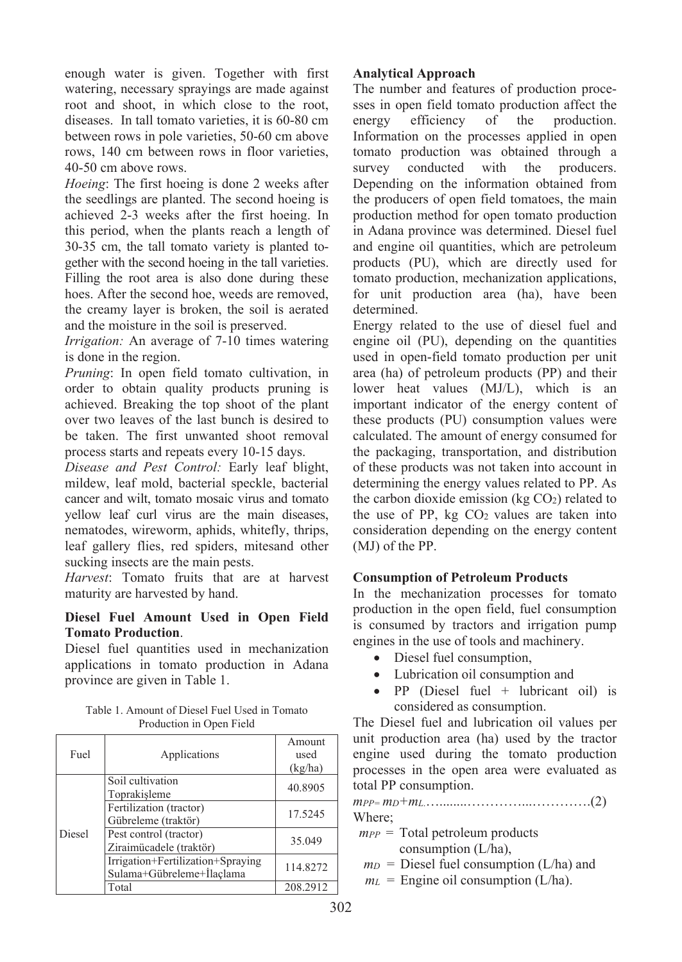enough water is given. Together with first watering, necessary sprayings are made against root and shoot, in which close to the root, diseases. In tall tomato varieties, it is 60-80 cm between rows in pole varieties, 50-60 cm above rows, 140 cm between rows in floor varieties, 40-50 cm above rows.

*Hoeing*: The first hoeing is done 2 weeks after the seedlings are planted. The second hoeing is achieved 2-3 weeks after the first hoeing. In this period, when the plants reach a length of 30-35 cm, the tall tomato variety is planted together with the second hoeing in the tall varieties. Filling the root area is also done during these hoes. After the second hoe, weeds are removed, the creamy layer is broken, the soil is aerated and the moisture in the soil is preserved.

*Irrigation:* An average of 7-10 times watering is done in the region.

*Pruning*: In open field tomato cultivation, in order to obtain quality products pruning is achieved. Breaking the top shoot of the plant over two leaves of the last bunch is desired to be taken. The first unwanted shoot removal process starts and repeats every 10-15 days.

*Disease and Pest Control:* Early leaf blight, mildew, leaf mold, bacterial speckle, bacterial cancer and wilt, tomato mosaic virus and tomato yellow leaf curl virus are the main diseases, nematodes, wireworm, aphids, whitefly, thrips, leaf gallery flies, red spiders, mitesand other sucking insects are the main pests.

*Harvest*: Tomato fruits that are at harvest maturity are harvested by hand.

### **Diesel Fuel Amount Used in Open Field Tomato Production**.

Diesel fuel quantities used in mechanization applications in tomato production in Adana province are given in Table 1.

Table 1. Amount of Diesel Fuel Used in Tomato Production in Open Field

| Fuel   | Applications                                                   | Amount<br>used<br>(kg/ha) |
|--------|----------------------------------------------------------------|---------------------------|
| Diesel | Soil cultivation<br>Toprakisleme                               | 40.8905                   |
|        | Fertilization (tractor)<br>Gübreleme (traktör)                 | 17.5245                   |
|        | Pest control (tractor)<br>Ziraimücadele (traktör)              | 35.049                    |
|        | Irrigation+Fertilization+Spraying<br>Sulama+Gübreleme+İlaçlama | 114.8272                  |
|        | Total                                                          | 208.2912                  |

# **Analytical Approach**

The number and features of production processes in open field tomato production affect the energy efficiency of the production. Information on the processes applied in open tomato production was obtained through a survey conducted with the producers. Depending on the information obtained from the producers of open field tomatoes, the main production method for open tomato production in Adana province was determined. Diesel fuel and engine oil quantities, which are petroleum products (PU), which are directly used for tomato production, mechanization applications, for unit production area (ha), have been determined.

Energy related to the use of diesel fuel and engine oil (PU), depending on the quantities used in open-field tomato production per unit area (ha) of petroleum products (PP) and their lower heat values (MJ/L), which is an important indicator of the energy content of these products (PU) consumption values were calculated. The amount of energy consumed for the packaging, transportation, and distribution of these products was not taken into account in determining the energy values related to PP. As the carbon dioxide emission (kg  $CO<sub>2</sub>$ ) related to the use of PP,  $kg CO<sub>2</sub>$  values are taken into consideration depending on the energy content (MJ) of the PP.

# **Consumption of Petroleum Products**

In the mechanization processes for tomato production in the open field, fuel consumption is consumed by tractors and irrigation pump engines in the use of tools and machinery.

- Diesel fuel consumption,
- Lubrication oil consumption and
- PP (Diesel fuel + lubricant oil) is considered as consumption.

The Diesel fuel and lubrication oil values per unit production area (ha) used by the tractor engine used during the tomato production processes in the open area were evaluated as total PP consumption.

*mPP= mD+mL*.…........…………...………….(2) Where;

- *mPP* = Total petroleum products consumption (L/ha),
- $m_D$  = Diesel fuel consumption (L/ha) and

 $m<sub>L</sub>$  = Engine oil consumption (L/ha).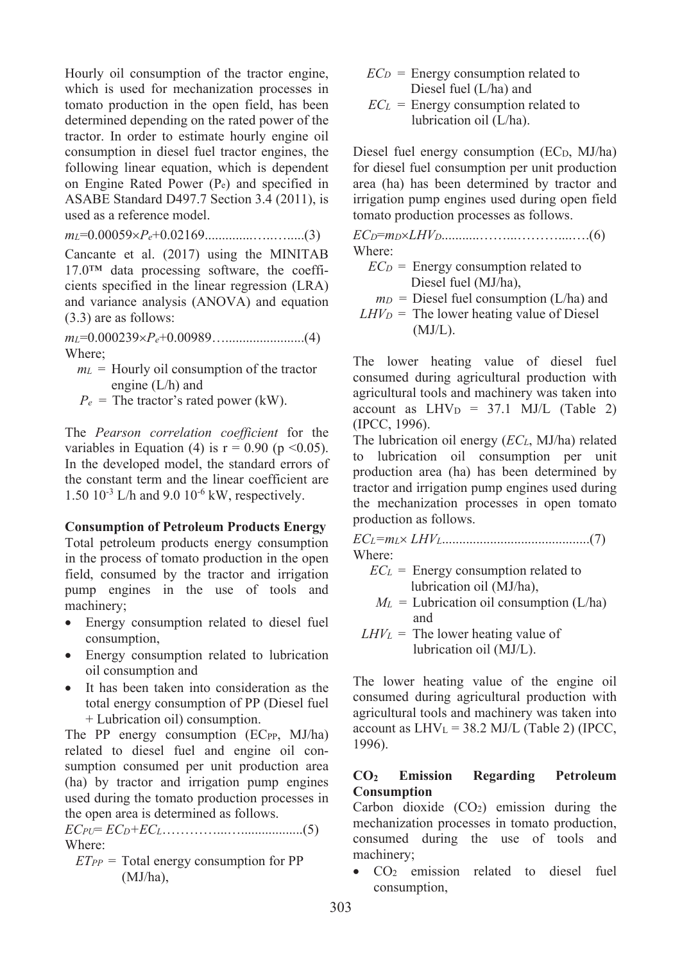Hourly oil consumption of the tractor engine, which is used for mechanization processes in tomato production in the open field, has been determined depending on the rated power of the tractor. In order to estimate hourly engine oil consumption in diesel fuel tractor engines, the following linear equation, which is dependent on Engine Rated Power (Pe) and specified in ASABE Standard D497.7 Section 3.4 (2011), is used as a reference model.

*mL*=0.00059×*Pe*+0.02169..............…..….....(3)

Cancante et al. (2017) using the MINITAB 17.0™ data processing software, the coefficients specified in the linear regression (LRA) and variance analysis (ANOVA) and equation (3.3) are as follows:

*mL*=0.000239×*Pe*+0.00989….......................(4) Where;

 $m<sub>L</sub>$  = Hourly oil consumption of the tractor engine (L/h) and

 $P_e$  = The tractor's rated power (kW).

The *Pearson correlation coefficient* for the variables in Equation (4) is  $r = 0.90$  (p < 0.05). In the developed model, the standard errors of the constant term and the linear coefficient are 1.50  $10^{-3}$  L/h and 9.0  $10^{-6}$  kW, respectively.

## **Consumption of Petroleum Products Energy**

Total petroleum products energy consumption in the process of tomato production in the open field, consumed by the tractor and irrigation pump engines in the use of tools and machinery;

- Energy consumption related to diesel fuel consumption,
- Energy consumption related to lubrication oil consumption and
- It has been taken into consideration as the total energy consumption of PP (Diesel fuel + Lubrication oil) consumption.

The PP energy consumption (ECPP, MJ/ha) related to diesel fuel and engine oil consumption consumed per unit production area (ha) by tractor and irrigation pump engines used during the tomato production processes in the open area is determined as follows.

*ECPU*= *ECD+ECL*…………...…..................(5) Where:

 $ET_{PP}$  = Total energy consumption for PP (MJ/ha),

- $EC<sub>D</sub>$  = Energy consumption related to Diesel fuel (L/ha) and
- *ECL =* Energy consumption related to lubrication oil (L/ha).

Diesel fuel energy consumption (EC<sub>D</sub>, MJ/ha) for diesel fuel consumption per unit production area (ha) has been determined by tractor and irrigation pump engines used during open field tomato production processes as follows.

*ECD*=*mD*×*LHVD*...........……...………....….(6) Where:

- $EC<sub>D</sub>$  = Energy consumption related to Diesel fuel (MJ/ha),
- $m_D$  = Diesel fuel consumption (L/ha) and
- $LHV_D$  = The lower heating value of Diesel (MJ/L).

The lower heating value of diesel fuel consumed during agricultural production with agricultural tools and machinery was taken into account as  $LHV_D = 37.1$  MJ/L (Table 2) (IPCC, 1996).

The lubrication oil energy (*ECL*, MJ/ha) related to lubrication oil consumption per unit production area (ha) has been determined by tractor and irrigation pump engines used during the mechanization processes in open tomato production as follows.

*ECL=mL*× *LHVL*...........................................(7) Where:

- $EC<sub>L</sub>$  = Energy consumption related to lubrication oil (MJ/ha),
- $M_L$  = Lubrication oil consumption (L/ha) and
- $LHV_L$  = The lower heating value of lubrication oil (MJ/L).

The lower heating value of the engine oil consumed during agricultural production with agricultural tools and machinery was taken into account as  $LHV_L = 38.2$  MJ/L (Table 2) (IPCC, 1996).

# **CO2 Emission Regarding Petroleum Consumption**

Carbon dioxide  $(CO<sub>2</sub>)$  emission during the mechanization processes in tomato production, consumed during the use of tools and machinery;

• CO2 emission related to diesel fuel consumption,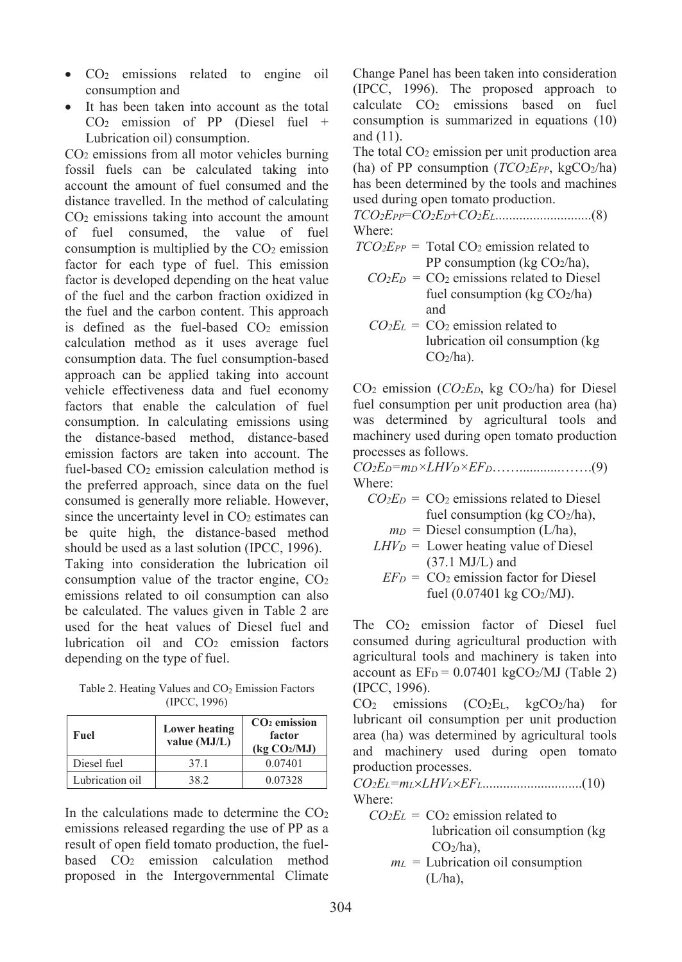- CO<sub>2</sub> emissions related to engine oil consumption and
- It has been taken into account as the total  $CO<sub>2</sub>$  emission of PP (Diesel fuel + Lubrication oil) consumption.

CO2 emissions from all motor vehicles burning fossil fuels can be calculated taking into account the amount of fuel consumed and the distance travelled. In the method of calculating CO2 emissions taking into account the amount of fuel consumed, the value of fuel consumption is multiplied by the  $CO<sub>2</sub>$  emission factor for each type of fuel. This emission factor is developed depending on the heat value of the fuel and the carbon fraction oxidized in the fuel and the carbon content. This approach is defined as the fuel-based  $CO<sub>2</sub>$  emission calculation method as it uses average fuel consumption data. The fuel consumption-based approach can be applied taking into account vehicle effectiveness data and fuel economy factors that enable the calculation of fuel consumption. In calculating emissions using the distance-based method, distance-based emission factors are taken into account. The fuel-based  $CO<sub>2</sub>$  emission calculation method is the preferred approach, since data on the fuel consumed is generally more reliable. However, since the uncertainty level in  $CO<sub>2</sub>$  estimates can be quite high, the distance-based method should be used as a last solution (IPCC, 1996). Taking into consideration the lubrication oil consumption value of the tractor engine, CO2 emissions related to oil consumption can also be calculated. The values given in Table 2 are used for the heat values of Diesel fuel and lubrication oil and  $CO<sub>2</sub>$  emission factors depending on the type of fuel.

Table 2. Heating Values and  $CO<sub>2</sub>$  Emission Factors (IPCC, 1996)

| Fuel            | <b>Lower</b> heating<br>value (MJ/L) | $CO2$ emission<br>factor<br>(kg CO <sub>2</sub> /MJ) |
|-----------------|--------------------------------------|------------------------------------------------------|
| Diesel fuel     | 37.1                                 | 0.07401                                              |
| Lubrication oil | 38.2                                 | 0.07328                                              |

In the calculations made to determine the  $CO<sub>2</sub>$ emissions released regarding the use of PP as a result of open field tomato production, the fuelbased CO2 emission calculation method proposed in the Intergovernmental Climate Change Panel has been taken into consideration (IPCC, 1996). The proposed approach to calculate CO2 emissions based on fuel consumption is summarized in equations (10) and (11).

The total CO<sub>2</sub> emission per unit production area (ha) of PP consumption (*TCO2EPP*, kgCO2/ha) has been determined by the tools and machines used during open tomato production.

*TCO2EPP*=*CO2ED*+*CO2EL*............................(8) Where:

- $TCO<sub>2</sub>E<sub>PP</sub>$  = Total CO<sub>2</sub> emission related to PP consumption (kg CO<sub>2</sub>/ha),
	- $CO<sub>2</sub>E<sub>D</sub> = CO<sub>2</sub>$  emissions related to Diesel fuel consumption (kg CO2/ha) and
	- $CO<sub>2</sub>E<sub>L</sub> = CO<sub>2</sub>$  emission related to lubrication oil consumption (kg  $CO<sub>2</sub>/ha$ ).

CO2 emission (*CO2ED*, kg CO2/ha) for Diesel fuel consumption per unit production area (ha) was determined by agricultural tools and machinery used during open tomato production processes as follows.

*CO2ED=mD×LHVD×EFD*……............…….(9) Where:

- $CO<sub>2</sub>E<sub>D</sub> = CO<sub>2</sub>$  emissions related to Diesel fuel consumption (kg  $CO<sub>2</sub>/ha$ ),
- $mp =$  Diesel consumption (L/ha),  $LHV_D =$  Lower heating value of Diesel

$$
(37.1 \text{ MJ/L})
$$
 and

$$
EF_D = \overline{CO_2}
$$
 emission factor for Diesel  
fuel (0.07401 kg CO<sub>2</sub>/MJ).

The  $CO<sub>2</sub>$  emission factor of Diesel fuel consumed during agricultural production with agricultural tools and machinery is taken into account as  $EF_D = 0.07401 \text{ kgCO}_2/\text{MJ}$  (Table 2) (IPCC, 1996).

 $CO<sub>2</sub>$  emissions  $(CO<sub>2</sub>E<sub>L</sub>, \text{kgCO}<sub>2</sub>/ha)$  for lubricant oil consumption per unit production area (ha) was determined by agricultural tools and machinery used during open tomato production processes.

*CO2EL=mL*×*LHVL*×*EFL*.............................(10) Where:

- $CO<sub>2</sub>E<sub>L</sub> = CO<sub>2</sub>$  emission related to lubrication oil consumption (kg CO2/ha),
	- $m<sub>L</sub>$  = Lubrication oil consumption  $(L/ha)$ ,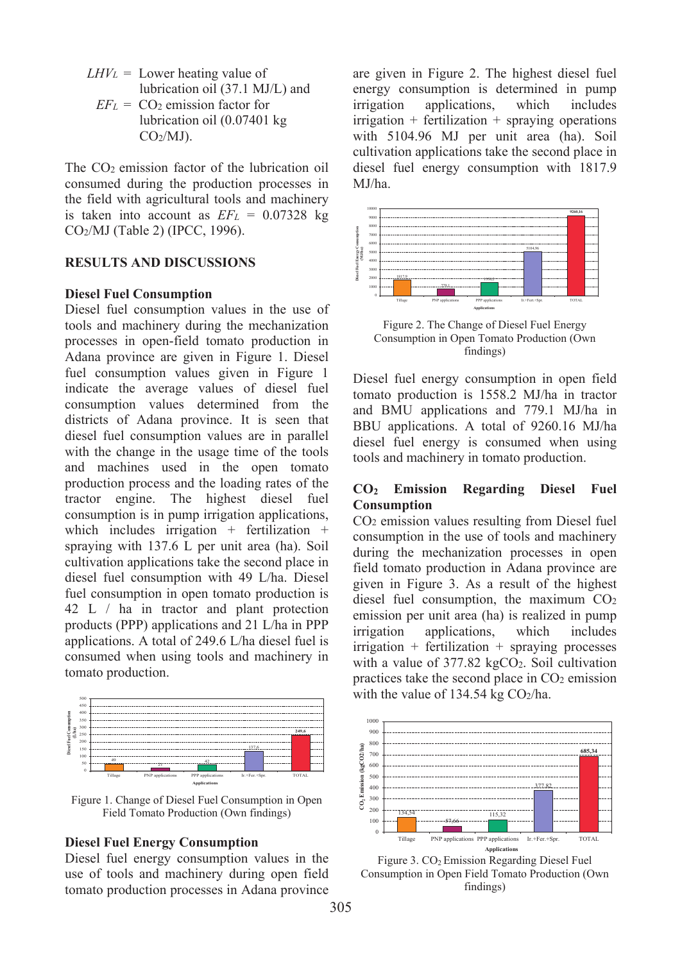$LHV_L =$  Lower heating value of lubrication oil (37.1 MJ/L) and  $EFL = CO<sub>2</sub>$  emission factor for lubrication oil (0.07401 kg CO2/MJ).

The CO<sub>2</sub> emission factor of the lubrication oil consumed during the production processes in the field with agricultural tools and machinery is taken into account as  $EFL = 0.07328$  kg CO2/MJ (Table 2) (IPCC, 1996).

#### **RESULTS AND DISCUSSIONS**

#### **Diesel Fuel Consumption**

Diesel fuel consumption values in the use of tools and machinery during the mechanization processes in open-field tomato production in Adana province are given in Figure 1. Diesel fuel consumption values given in Figure 1 indicate the average values of diesel fuel consumption values determined from the districts of Adana province. It is seen that diesel fuel consumption values are in parallel with the change in the usage time of the tools and machines used in the open tomato production process and the loading rates of the tractor engine. The highest diesel fuel consumption is in pump irrigation applications, which includes irrigation  $+$  fertilization  $+$ spraying with 137.6 L per unit area (ha). Soil cultivation applications take the second place in diesel fuel consumption with 49 L/ha. Diesel fuel consumption in open tomato production is 42 L / ha in tractor and plant protection products (PPP) applications and 21 L/ha in PPP applications. A total of 249.6 L/ha diesel fuel is consumed when using tools and machinery in tomato production.



Figure 1. Change of Diesel Fuel Consumption in Open Field Tomato Production (Own findings)

#### **Diesel Fuel Energy Consumption**

Diesel fuel energy consumption values in the use of tools and machinery during open field tomato production processes in Adana province are given in Figure 2. The highest diesel fuel energy consumption is determined in pump irrigation applications, which includes  $irrigation + fertilization + spraying operations$ with 5104.96 MJ per unit area (ha). Soil cultivation applications take the second place in diesel fuel energy consumption with 1817.9 MJ/ha.



Figure 2. The Change of Diesel Fuel Energy Consumption in Open Tomato Production (Own findings)

Diesel fuel energy consumption in open field tomato production is 1558.2 MJ/ha in tractor and BMU applications and 779.1 MJ/ha in BBU applications. A total of 9260.16 MJ/ha diesel fuel energy is consumed when using tools and machinery in tomato production.

## **CO2 Emission Regarding Diesel Fuel Consumption**

CO2 emission values resulting from Diesel fuel consumption in the use of tools and machinery during the mechanization processes in open field tomato production in Adana province are given in Figure 3. As a result of the highest diesel fuel consumption, the maximum CO<sub>2</sub> emission per unit area (ha) is realized in pump irrigation applications, which includes  $irrization + fertilization + spraving processes$ with a value of 377.82 kgCO<sub>2</sub>. Soil cultivation practices take the second place in  $CO<sub>2</sub>$  emission with the value of 134.54 kg CO<sub>2</sub>/ha.



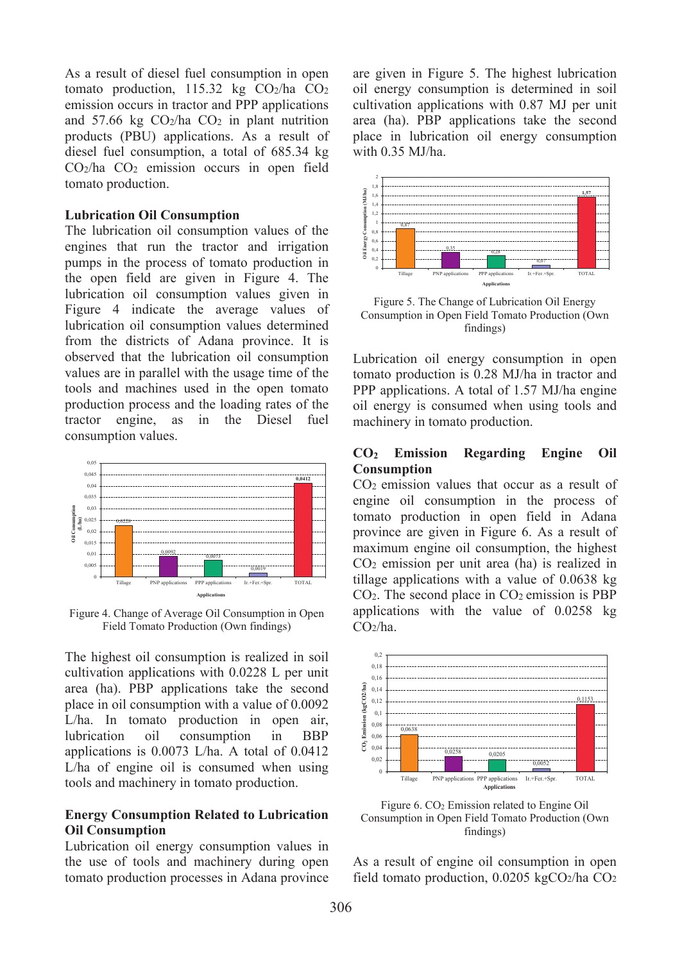As a result of diesel fuel consumption in open tomato production,  $115.32$  kg  $CO<sub>2</sub>/ha$   $CO<sub>2</sub>$ emission occurs in tractor and PPP applications and  $57.66$  kg  $CO<sub>2</sub>/ha CO<sub>2</sub>$  in plant nutrition products (PBU) applications. As a result of diesel fuel consumption, a total of 685.34 kg CO2/ha CO2 emission occurs in open field tomato production.

#### **Lubrication Oil Consumption**

The lubrication oil consumption values of the engines that run the tractor and irrigation pumps in the process of tomato production in the open field are given in Figure 4. The lubrication oil consumption values given in Figure 4 indicate the average values of lubrication oil consumption values determined from the districts of Adana province. It is observed that the lubrication oil consumption values are in parallel with the usage time of the tools and machines used in the open tomato production process and the loading rates of the tractor engine, as in the Diesel fuel consumption values.



Figure 4. Change of Average Oil Consumption in Open Field Tomato Production (Own findings)

The highest oil consumption is realized in soil cultivation applications with 0.0228 L per unit area (ha). PBP applications take the second place in oil consumption with a value of 0.0092 L/ha. In tomato production in open air, lubrication oil consumption in BBP applications is 0.0073 L/ha. A total of 0.0412 L/ha of engine oil is consumed when using tools and machinery in tomato production.

### **Energy Consumption Related to Lubrication Oil Consumption**

Lubrication oil energy consumption values in the use of tools and machinery during open tomato production processes in Adana province are given in Figure 5. The highest lubrication oil energy consumption is determined in soil cultivation applications with 0.87 MJ per unit area (ha). PBP applications take the second place in lubrication oil energy consumption with 0.35 MJ/ha.



Figure 5. The Change of Lubrication Oil Energy Consumption in Open Field Tomato Production (Own findings)

Lubrication oil energy consumption in open tomato production is 0.28 MJ/ha in tractor and PPP applications. A total of 1.57 MJ/ha engine oil energy is consumed when using tools and machinery in tomato production.

### **CO2 Emission Regarding Engine Oil Consumption**

CO2 emission values that occur as a result of engine oil consumption in the process of tomato production in open field in Adana province are given in Figure 6. As a result of maximum engine oil consumption, the highest CO2 emission per unit area (ha) is realized in tillage applications with a value of 0.0638 kg  $CO<sub>2</sub>$ . The second place in  $CO<sub>2</sub>$  emission is PBP applications with the value of 0.0258 kg CO2/ha.



Figure 6.  $CO<sub>2</sub>$  Emission related to Engine Oil Consumption in Open Field Tomato Production (Own findings)

As a result of engine oil consumption in open field tomato production,  $0.0205 \text{ kgCO}_2/\text{ha CO}_2$